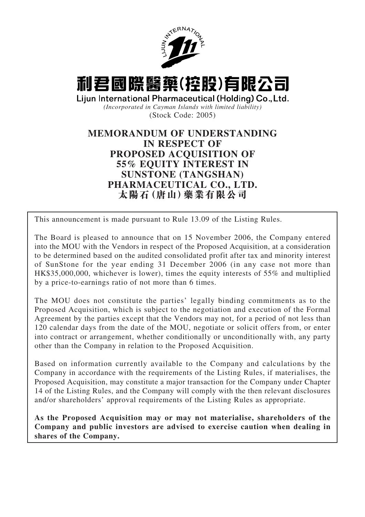



*(Incorporated in Cayman Islands with limited liability)* (Stock Code: 2005)

# **MEMORANDUM OF UNDERSTANDING IN RESPECT OF PROPOSED ACQUISITION OF 55% EQUITY INTEREST IN SUNSTONE (TANGSHAN) PHARMACEUTICAL CO., LTD. 太陽石(唐山)藥業有限公司**

This announcement is made pursuant to Rule 13.09 of the Listing Rules.

The Board is pleased to announce that on 15 November 2006, the Company entered into the MOU with the Vendors in respect of the Proposed Acquisition, at a consideration to be determined based on the audited consolidated profit after tax and minority interest of SunStone for the year ending 31 December 2006 (in any case not more than HK\$35,000,000, whichever is lower), times the equity interests of 55% and multiplied by a price-to-earnings ratio of not more than 6 times.

The MOU does not constitute the parties' legally binding commitments as to the Proposed Acquisition, which is subject to the negotiation and execution of the Formal Agreement by the parties except that the Vendors may not, for a period of not less than 120 calendar days from the date of the MOU, negotiate or solicit offers from, or enter into contract or arrangement, whether conditionally or unconditionally with, any party other than the Company in relation to the Proposed Acquisition.

Based on information currently available to the Company and calculations by the Company in accordance with the requirements of the Listing Rules, if materialises, the Proposed Acquisition, may constitute a major transaction for the Company under Chapter 14 of the Listing Rules, and the Company will comply with the then relevant disclosures and/or shareholders' approval requirements of the Listing Rules as appropriate.

**As the Proposed Acquisition may or may not materialise, shareholders of the Company and public investors are advised to exercise caution when dealing in shares of the Company.**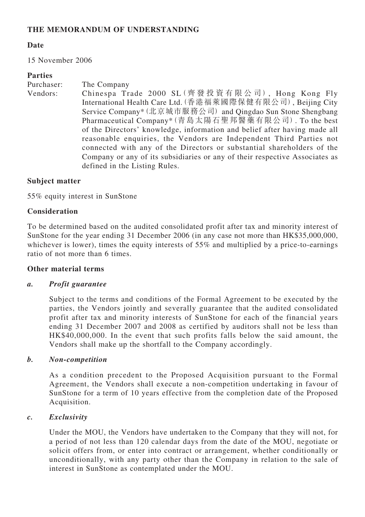# **THE MEMORANDUM OF UNDERSTANDING**

### **Date**

15 November 2006

### **Parties**

| Purchaser: | The Company                                                                 |
|------------|-----------------------------------------------------------------------------|
| Vendors:   | Chinespa Trade 2000 SL (齊發投資有限公司), Hong Kong Fly                            |
|            | International Health Care Ltd. (香港福萊國際保健有限公司), Beijing City                 |
|            | Service Company* (北京城市服務公司) and Qingdao Sun Stone Shengbang                 |
|            | Pharmaceutical Company* (青島太陽石聖邦醫藥有限公司). To the best                        |
|            | of the Directors' knowledge, information and belief after having made all   |
|            | reasonable enquiries, the Vendors are Independent Third Parties not         |
|            | connected with any of the Directors or substantial shareholders of the      |
|            | Company or any of its subsidiaries or any of their respective Associates as |
|            | defined in the Listing Rules.                                               |

#### **Subject matter**

55% equity interest in SunStone

### **Consideration**

To be determined based on the audited consolidated profit after tax and minority interest of SunStone for the year ending 31 December 2006 (in any case not more than HK\$35,000,000, whichever is lower), times the equity interests of 55% and multiplied by a price-to-earnings ratio of not more than 6 times.

#### **Other material terms**

#### *a. Profit guarantee*

Subject to the terms and conditions of the Formal Agreement to be executed by the parties, the Vendors jointly and severally guarantee that the audited consolidated profit after tax and minority interests of SunStone for each of the financial years ending 31 December 2007 and 2008 as certified by auditors shall not be less than HK\$40,000,000. In the event that such profits falls below the said amount, the Vendors shall make up the shortfall to the Company accordingly.

#### *b. Non-competition*

As a condition precedent to the Proposed Acquisition pursuant to the Formal Agreement, the Vendors shall execute a non-competition undertaking in favour of SunStone for a term of 10 years effective from the completion date of the Proposed Acquisition.

#### *c. Exclusivity*

Under the MOU, the Vendors have undertaken to the Company that they will not, for a period of not less than 120 calendar days from the date of the MOU, negotiate or solicit offers from, or enter into contract or arrangement, whether conditionally or unconditionally, with any party other than the Company in relation to the sale of interest in SunStone as contemplated under the MOU.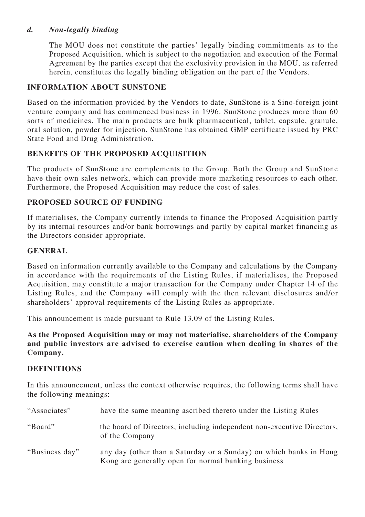# *d. Non-legally binding*

The MOU does not constitute the parties' legally binding commitments as to the Proposed Acquisition, which is subject to the negotiation and execution of the Formal Agreement by the parties except that the exclusivity provision in the MOU, as referred herein, constitutes the legally binding obligation on the part of the Vendors.

# **INFORMATION ABOUT SUNSTONE**

Based on the information provided by the Vendors to date, SunStone is a Sino-foreign joint venture company and has commenced business in 1996. SunStone produces more than 60 sorts of medicines. The main products are bulk pharmaceutical, tablet, capsule, granule, oral solution, powder for injection. SunStone has obtained GMP certificate issued by PRC State Food and Drug Administration.

# **BENEFITS OF THE PROPOSED ACQUISITION**

The products of SunStone are complements to the Group. Both the Group and SunStone have their own sales network, which can provide more marketing resources to each other. Furthermore, the Proposed Acquisition may reduce the cost of sales.

# **PROPOSED SOURCE OF FUNDING**

If materialises, the Company currently intends to finance the Proposed Acquisition partly by its internal resources and/or bank borrowings and partly by capital market financing as the Directors consider appropriate.

### **GENERAL**

Based on information currently available to the Company and calculations by the Company in accordance with the requirements of the Listing Rules, if materialises, the Proposed Acquisition, may constitute a major transaction for the Company under Chapter 14 of the Listing Rules, and the Company will comply with the then relevant disclosures and/or shareholders' approval requirements of the Listing Rules as appropriate.

This announcement is made pursuant to Rule 13.09 of the Listing Rules.

**As the Proposed Acquisition may or may not materialise, shareholders of the Company and public investors are advised to exercise caution when dealing in shares of the Company.**

#### **DEFINITIONS**

In this announcement, unless the context otherwise requires, the following terms shall have the following meanings:

| "Associates"   | have the same meaning ascribed thereto under the Listing Rules                                                            |
|----------------|---------------------------------------------------------------------------------------------------------------------------|
| "Board"        | the board of Directors, including independent non-executive Directors,<br>of the Company                                  |
| "Business day" | any day (other than a Saturday or a Sunday) on which banks in Hong<br>Kong are generally open for normal banking business |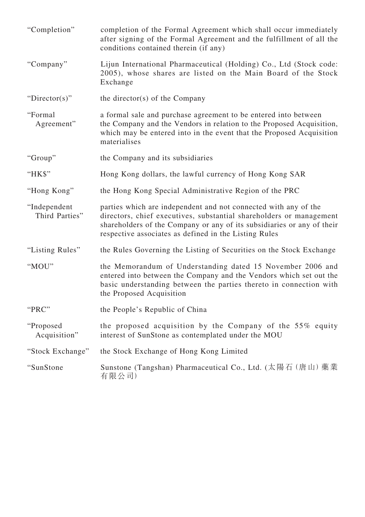| "Completion"                   | completion of the Formal Agreement which shall occur immediately<br>after signing of the Formal Agreement and the fulfillment of all the<br>conditions contained therein (if any)                                                                                         |
|--------------------------------|---------------------------------------------------------------------------------------------------------------------------------------------------------------------------------------------------------------------------------------------------------------------------|
| "Company"                      | Lijun International Pharmaceutical (Holding) Co., Ltd (Stock code:<br>2005), whose shares are listed on the Main Board of the Stock<br>Exchange                                                                                                                           |
| "Director(s)"                  | the director(s) of the Company                                                                                                                                                                                                                                            |
| "Formal<br>Agreement"          | a formal sale and purchase agreement to be entered into between<br>the Company and the Vendors in relation to the Proposed Acquisition,<br>which may be entered into in the event that the Proposed Acquisition<br>materialises                                           |
| "Group"                        | the Company and its subsidiaries                                                                                                                                                                                                                                          |
| "HK\$"                         | Hong Kong dollars, the lawful currency of Hong Kong SAR                                                                                                                                                                                                                   |
| "Hong Kong"                    | the Hong Kong Special Administrative Region of the PRC                                                                                                                                                                                                                    |
| "Independent<br>Third Parties" | parties which are independent and not connected with any of the<br>directors, chief executives, substantial shareholders or management<br>shareholders of the Company or any of its subsidiaries or any of their<br>respective associates as defined in the Listing Rules |
| "Listing Rules"                | the Rules Governing the Listing of Securities on the Stock Exchange                                                                                                                                                                                                       |
| "MOU"                          | the Memorandum of Understanding dated 15 November 2006 and<br>entered into between the Company and the Vendors which set out the<br>basic understanding between the parties thereto in connection with<br>the Proposed Acquisition                                        |
| "PRC"                          | the People's Republic of China                                                                                                                                                                                                                                            |
| "Proposed"<br>Acquisition"     | the proposed acquisition by the Company of the 55% equity<br>interest of SunStone as contemplated under the MOU                                                                                                                                                           |
| "Stock Exchange"               | the Stock Exchange of Hong Kong Limited                                                                                                                                                                                                                                   |
| "SunStone                      | Sunstone (Tangshan) Pharmaceutical Co., Ltd. (太陽石 (唐山) 藥業<br>有限公司)                                                                                                                                                                                                        |